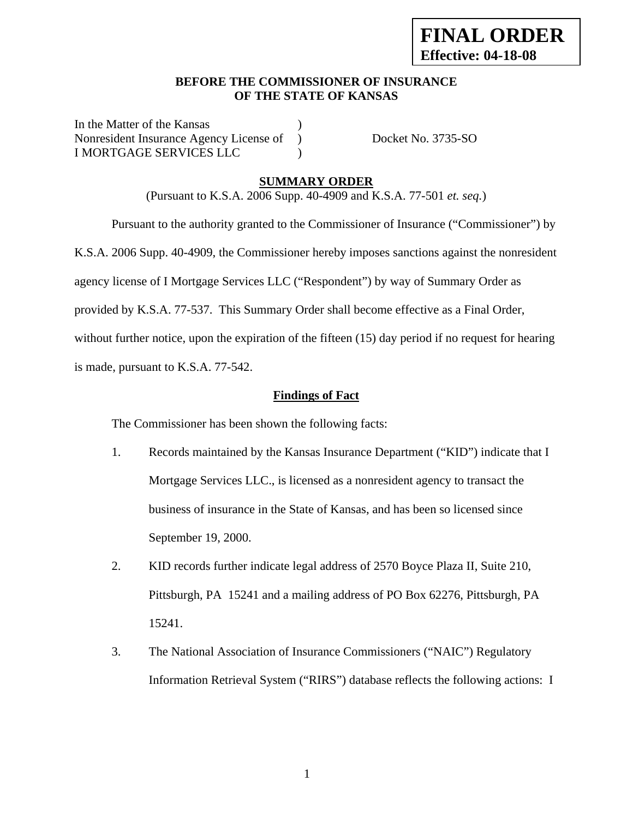### **BEFORE THE COMMISSIONER OF INSURANCE OF THE STATE OF KANSAS**

In the Matter of the Kansas Nonresident Insurance Agency License of ) Docket No. 3735-SO I MORTGAGE SERVICES LLC )

### **SUMMARY ORDER**

(Pursuant to K.S.A. 2006 Supp. 40-4909 and K.S.A. 77-501 *et. seq.*)

 Pursuant to the authority granted to the Commissioner of Insurance ("Commissioner") by K.S.A. 2006 Supp. 40-4909, the Commissioner hereby imposes sanctions against the nonresident agency license of I Mortgage Services LLC ("Respondent") by way of Summary Order as provided by K.S.A. 77-537. This Summary Order shall become effective as a Final Order, without further notice, upon the expiration of the fifteen (15) day period if no request for hearing is made, pursuant to K.S.A. 77-542.

### **Findings of Fact**

The Commissioner has been shown the following facts:

- 1. Records maintained by the Kansas Insurance Department ("KID") indicate that I Mortgage Services LLC., is licensed as a nonresident agency to transact the business of insurance in the State of Kansas, and has been so licensed since September 19, 2000.
- 2. KID records further indicate legal address of 2570 Boyce Plaza II, Suite 210, Pittsburgh, PA 15241 and a mailing address of PO Box 62276, Pittsburgh, PA 15241.
- 3. The National Association of Insurance Commissioners ("NAIC") Regulatory Information Retrieval System ("RIRS") database reflects the following actions: I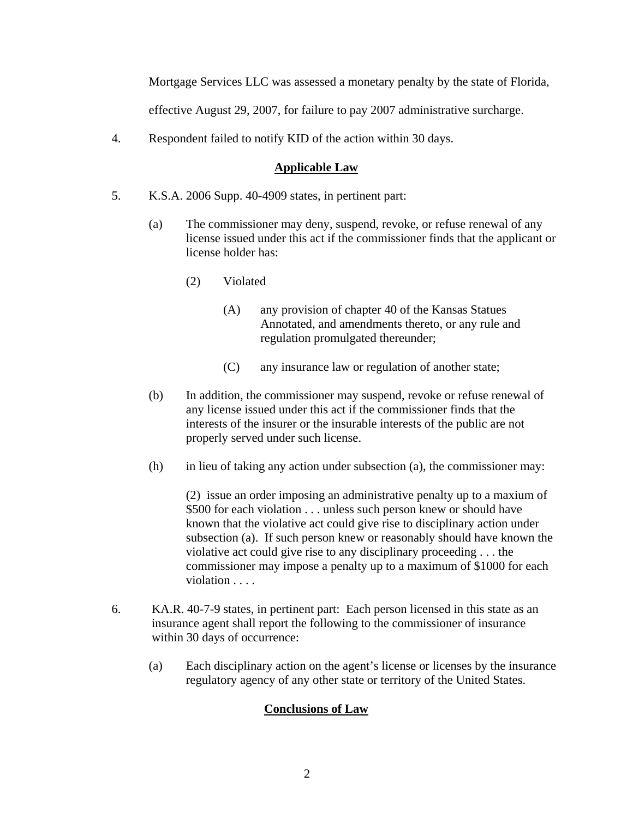Mortgage Services LLC was assessed a monetary penalty by the state of Florida,

effective August 29, 2007, for failure to pay 2007 administrative surcharge.

4. Respondent failed to notify KID of the action within 30 days.

### **Applicable Law**

- 5. K.S.A. 2006 Supp. 40-4909 states, in pertinent part:
	- (a) The commissioner may deny, suspend, revoke, or refuse renewal of any license issued under this act if the commissioner finds that the applicant or license holder has:
		- (2) Violated
			- (A) any provision of chapter 40 of the Kansas Statues Annotated, and amendments thereto, or any rule and regulation promulgated thereunder;
			- (C) any insurance law or regulation of another state;
	- (b) In addition, the commissioner may suspend, revoke or refuse renewal of any license issued under this act if the commissioner finds that the interests of the insurer or the insurable interests of the public are not properly served under such license.
	- (h) in lieu of taking any action under subsection (a), the commissioner may:

(2) issue an order imposing an administrative penalty up to a maxium of \$500 for each violation . . . unless such person knew or should have known that the violative act could give rise to disciplinary action under subsection (a). If such person knew or reasonably should have known the violative act could give rise to any disciplinary proceeding . . . the commissioner may impose a penalty up to a maximum of \$1000 for each violation . . . .

- 6. KA.R. 40-7-9 states, in pertinent part: Each person licensed in this state as an insurance agent shall report the following to the commissioner of insurance within 30 days of occurrence:
	- (a) Each disciplinary action on the agent's license or licenses by the insurance regulatory agency of any other state or territory of the United States.

## **Conclusions of Law**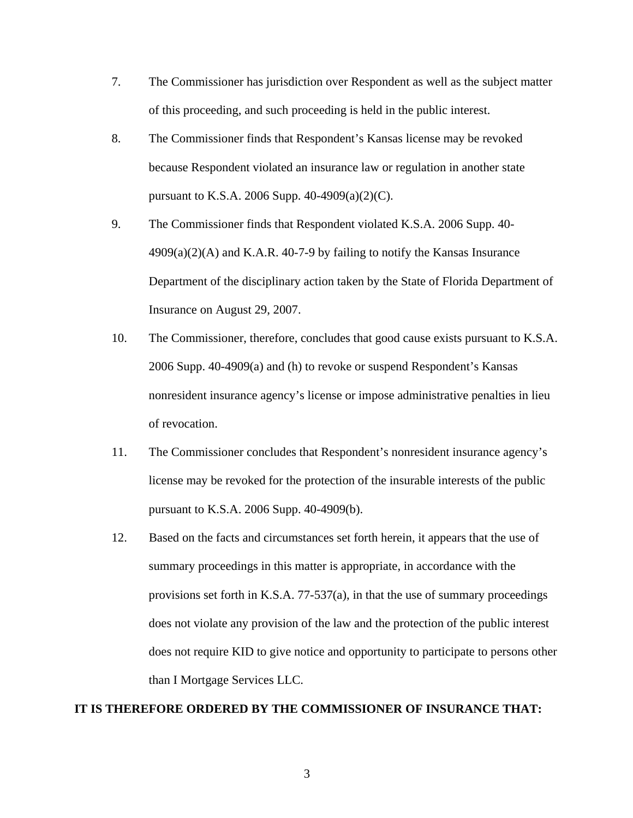- 7. The Commissioner has jurisdiction over Respondent as well as the subject matter of this proceeding, and such proceeding is held in the public interest.
- 8. The Commissioner finds that Respondent's Kansas license may be revoked because Respondent violated an insurance law or regulation in another state pursuant to K.S.A. 2006 Supp. 40-4909(a)(2)(C).
- 9. The Commissioner finds that Respondent violated K.S.A. 2006 Supp. 40-  $4909(a)(2)$ (A) and K.A.R. 40-7-9 by failing to notify the Kansas Insurance Department of the disciplinary action taken by the State of Florida Department of Insurance on August 29, 2007.
- 10. The Commissioner, therefore, concludes that good cause exists pursuant to K.S.A. 2006 Supp. 40-4909(a) and (h) to revoke or suspend Respondent's Kansas nonresident insurance agency's license or impose administrative penalties in lieu of revocation.
- 11. The Commissioner concludes that Respondent's nonresident insurance agency's license may be revoked for the protection of the insurable interests of the public pursuant to K.S.A. 2006 Supp. 40-4909(b).
- 12. Based on the facts and circumstances set forth herein, it appears that the use of summary proceedings in this matter is appropriate, in accordance with the provisions set forth in K.S.A. 77-537(a), in that the use of summary proceedings does not violate any provision of the law and the protection of the public interest does not require KID to give notice and opportunity to participate to persons other than I Mortgage Services LLC.

#### **IT IS THEREFORE ORDERED BY THE COMMISSIONER OF INSURANCE THAT:**

3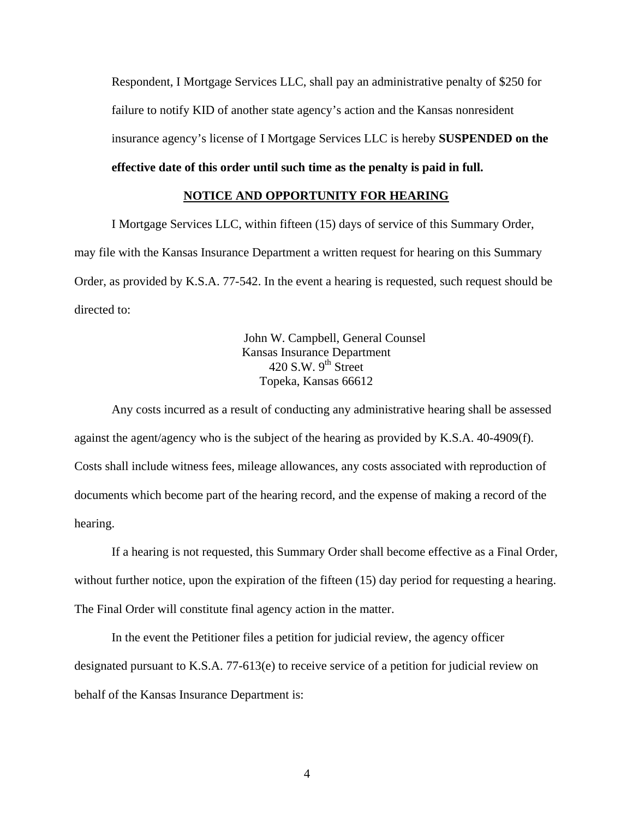Respondent, I Mortgage Services LLC, shall pay an administrative penalty of \$250 for failure to notify KID of another state agency's action and the Kansas nonresident insurance agency's license of I Mortgage Services LLC is hereby **SUSPENDED on the** 

### **effective date of this order until such time as the penalty is paid in full.**

### **NOTICE AND OPPORTUNITY FOR HEARING**

I Mortgage Services LLC, within fifteen (15) days of service of this Summary Order, may file with the Kansas Insurance Department a written request for hearing on this Summary Order, as provided by K.S.A. 77-542. In the event a hearing is requested, such request should be directed to:

> John W. Campbell, General Counsel Kansas Insurance Department  $420$  S.W.  $9<sup>th</sup>$  Street Topeka, Kansas 66612

Any costs incurred as a result of conducting any administrative hearing shall be assessed against the agent/agency who is the subject of the hearing as provided by K.S.A. 40-4909(f). Costs shall include witness fees, mileage allowances, any costs associated with reproduction of documents which become part of the hearing record, and the expense of making a record of the hearing.

If a hearing is not requested, this Summary Order shall become effective as a Final Order, without further notice, upon the expiration of the fifteen (15) day period for requesting a hearing. The Final Order will constitute final agency action in the matter.

In the event the Petitioner files a petition for judicial review, the agency officer designated pursuant to K.S.A. 77-613(e) to receive service of a petition for judicial review on behalf of the Kansas Insurance Department is: